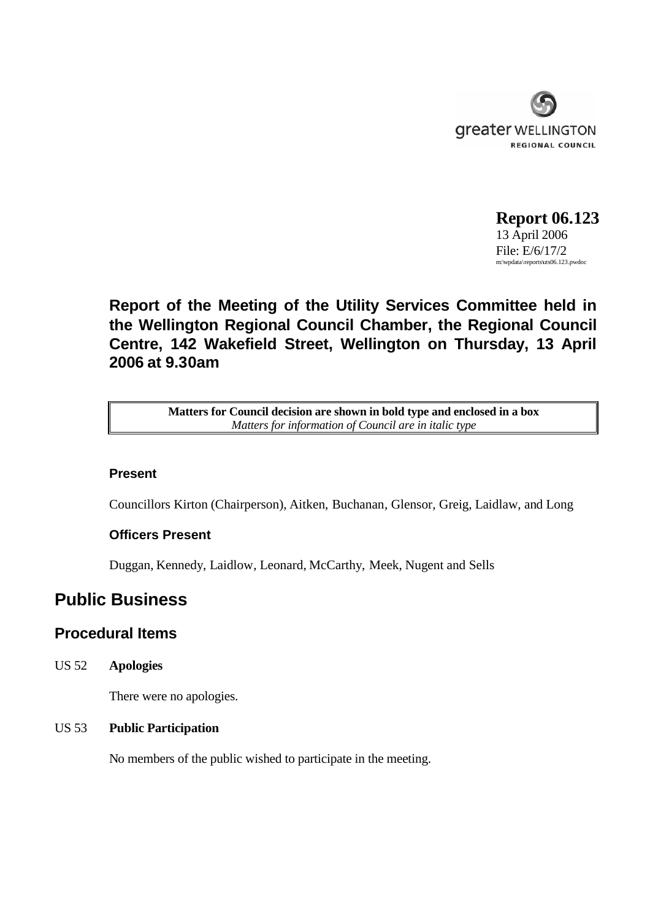

**Report 06.123** 13 April 2006 File: E/6/17/2 m:\wpdata\reports\uts06.123.pwdoc

# **Report of the Meeting of the Utility Services Committee held in the Wellington Regional Council Chamber, the Regional Council Centre, 142 Wakefield Street, Wellington on Thursday, 13 April 2006 at 9.30am**

**Matters for Council decision are shown in bold type and enclosed in a box** *Matters for information of Council are in italic type*

### **Present**

Councillors Kirton (Chairperson), Aitken, Buchanan, Glensor, Greig, Laidlaw, and Long

### **Officers Present**

Duggan, Kennedy, Laidlow, Leonard, McCarthy, Meek, Nugent and Sells

## **Public Business**

### **Procedural Items**

US 52 **Apologies**

There were no apologies.

### US 53 **Public Participation**

No members of the public wished to participate in the meeting.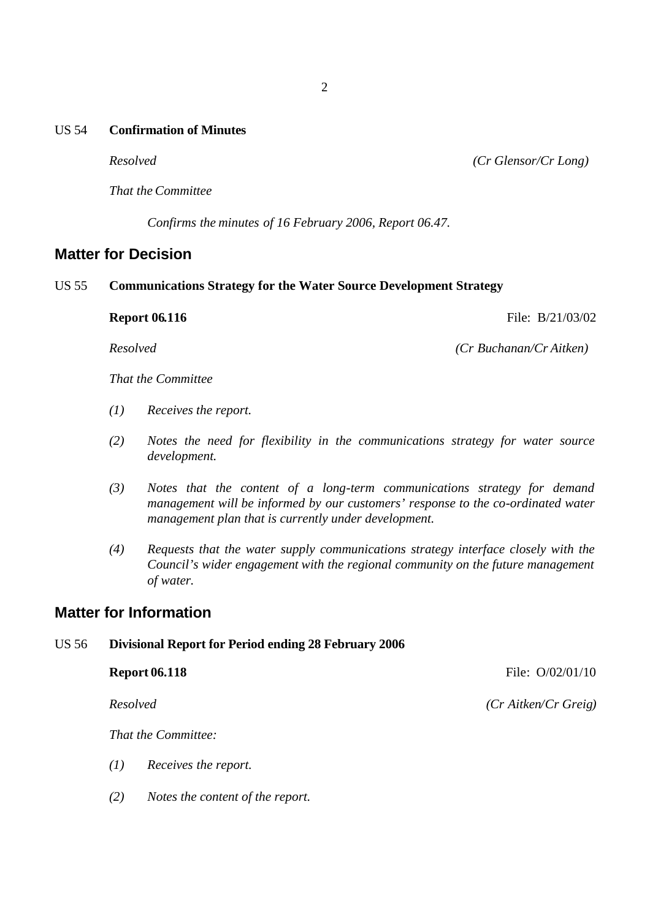#### US 54 **Confirmation of Minutes**

*Resolved (Cr Glensor/Cr Long)*

*That the Committee*

*Confirms the minutes of 16 February 2006, Report 06.47.*

### **Matter for Decision**

#### US 55 **Communications Strategy for the Water Source Development Strategy**

**Report 06.116** File: B/21/03/02

*Resolved (Cr Buchanan/Cr Aitken)*

*That the Committee*

- *(1) Receives the report.*
- *(2) Notes the need for flexibility in the communications strategy for water source development.*
- *(3) Notes that the content of a long-term communications strategy for demand management will be informed by our customers' response to the co-ordinated water management plan that is currently under development.*
- *(4) Requests that the water supply communications strategy interface closely with the Council's wider engagement with the regional community on the future management of water.*

### **Matter for Information**

#### US 56 **Divisional Report for Period ending 28 February 2006**

**Report 06.118** File:  $O/02/01/10$ *Resolved (Cr Aitken/Cr Greig) That the Committee:*

- *(1) Receives the report.*
- *(2) Notes the content of the report.*